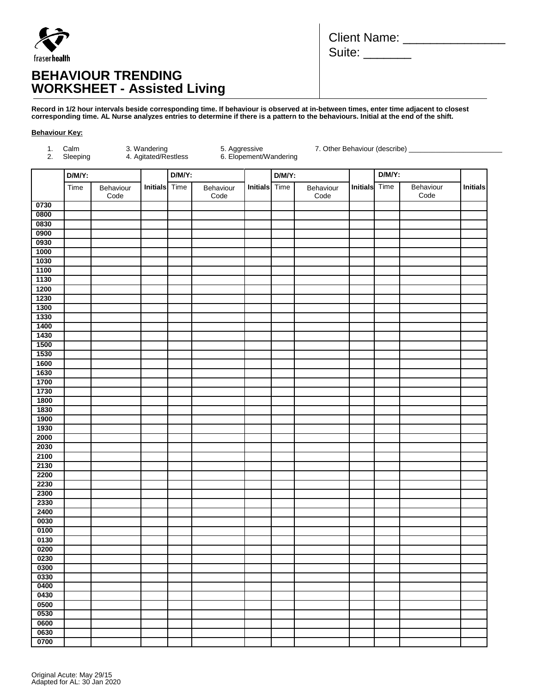

# **BEHAVIOUR TRENDING WORKSHEET - Assisted Living**

| <b>Client Name:</b> |  |
|---------------------|--|
| Suite:              |  |

**Record in 1/2 hour intervals beside corresponding time. If behaviour is observed at in-between times, enter time adjacent to closest corresponding time. AL Nurse analyzes entries to determine if there is a pattern to the behaviours. Initial at the end of the shift.** 

#### **Behaviour Key:**

| 1.<br>2.     | Calm<br>Sleeping          | 3. Wandering<br>4. Agitated/Restless<br>5. Aggressive<br>6. Elopement/Wandering<br>7. Other Behaviour (describe) ____________ |  |                   |               |  |                   |                      |  |                   |  |                 |
|--------------|---------------------------|-------------------------------------------------------------------------------------------------------------------------------|--|-------------------|---------------|--|-------------------|----------------------|--|-------------------|--|-----------------|
|              | $D/M/Y$ :                 |                                                                                                                               |  | D/M/Y:            |               |  | $D/M/Y$ :         |                      |  | $D/M/Y$ :         |  | <b>Initials</b> |
|              | Time<br>Behaviour<br>Code | <b>Initials</b> Time                                                                                                          |  | Behaviour<br>Code | Initials Time |  | Behaviour<br>Code | <b>Initials</b> Time |  | Behaviour<br>Code |  |                 |
| 0730         |                           |                                                                                                                               |  |                   |               |  |                   |                      |  |                   |  |                 |
| 0800         |                           |                                                                                                                               |  |                   |               |  |                   |                      |  |                   |  |                 |
| 0830         |                           |                                                                                                                               |  |                   |               |  |                   |                      |  |                   |  |                 |
| 0900         |                           |                                                                                                                               |  |                   |               |  |                   |                      |  |                   |  |                 |
| 0930<br>1000 |                           |                                                                                                                               |  |                   |               |  |                   |                      |  |                   |  |                 |
| 1030         |                           |                                                                                                                               |  |                   |               |  |                   |                      |  |                   |  |                 |
| 1100         |                           |                                                                                                                               |  |                   |               |  |                   |                      |  |                   |  |                 |
| 1130         |                           |                                                                                                                               |  |                   |               |  |                   |                      |  |                   |  |                 |
| 1200         |                           |                                                                                                                               |  |                   |               |  |                   |                      |  |                   |  |                 |
| 1230         |                           |                                                                                                                               |  |                   |               |  |                   |                      |  |                   |  |                 |
| 1300         |                           |                                                                                                                               |  |                   |               |  |                   |                      |  |                   |  |                 |
| 1330         |                           |                                                                                                                               |  |                   |               |  |                   |                      |  |                   |  |                 |
| 1400         |                           |                                                                                                                               |  |                   |               |  |                   |                      |  |                   |  |                 |
| 1430         |                           |                                                                                                                               |  |                   |               |  |                   |                      |  |                   |  |                 |
| 1500         |                           |                                                                                                                               |  |                   |               |  |                   |                      |  |                   |  |                 |
| 1530         |                           |                                                                                                                               |  |                   |               |  |                   |                      |  |                   |  |                 |
| 1600         |                           |                                                                                                                               |  |                   |               |  |                   |                      |  |                   |  |                 |
| 1630         |                           |                                                                                                                               |  |                   |               |  |                   |                      |  |                   |  |                 |
| 1700         |                           |                                                                                                                               |  |                   |               |  |                   |                      |  |                   |  |                 |
| 1730         |                           |                                                                                                                               |  |                   |               |  |                   |                      |  |                   |  |                 |
| 1800         |                           |                                                                                                                               |  |                   |               |  |                   |                      |  |                   |  |                 |
| 1830         |                           |                                                                                                                               |  |                   |               |  |                   |                      |  |                   |  |                 |
| 1900<br>1930 |                           |                                                                                                                               |  |                   |               |  |                   |                      |  |                   |  |                 |
| 2000         |                           |                                                                                                                               |  |                   |               |  |                   |                      |  |                   |  |                 |
| 2030         |                           |                                                                                                                               |  |                   |               |  |                   |                      |  |                   |  |                 |
| 2100         |                           |                                                                                                                               |  |                   |               |  |                   |                      |  |                   |  |                 |
| 2130         |                           |                                                                                                                               |  |                   |               |  |                   |                      |  |                   |  |                 |
| 2200         |                           |                                                                                                                               |  |                   |               |  |                   |                      |  |                   |  |                 |
| 2230         |                           |                                                                                                                               |  |                   |               |  |                   |                      |  |                   |  |                 |
| 2300         |                           |                                                                                                                               |  |                   |               |  |                   |                      |  |                   |  |                 |
| 2330         |                           |                                                                                                                               |  |                   |               |  |                   |                      |  |                   |  |                 |
| 2400         |                           |                                                                                                                               |  |                   |               |  |                   |                      |  |                   |  |                 |
| 0030         |                           |                                                                                                                               |  |                   |               |  |                   |                      |  |                   |  |                 |
| 0100         |                           |                                                                                                                               |  |                   |               |  |                   |                      |  |                   |  |                 |
| 0130         |                           |                                                                                                                               |  |                   |               |  |                   |                      |  |                   |  |                 |
| 0200         |                           |                                                                                                                               |  |                   |               |  |                   |                      |  |                   |  |                 |
| 0230         |                           |                                                                                                                               |  |                   |               |  |                   |                      |  |                   |  |                 |
| 0300         |                           |                                                                                                                               |  |                   |               |  |                   |                      |  |                   |  |                 |
| 0330         |                           |                                                                                                                               |  |                   |               |  |                   |                      |  |                   |  |                 |
| 0400         |                           |                                                                                                                               |  |                   |               |  |                   |                      |  |                   |  |                 |
| 0430         |                           |                                                                                                                               |  |                   |               |  |                   |                      |  |                   |  |                 |
| 0500         |                           |                                                                                                                               |  |                   |               |  |                   |                      |  |                   |  |                 |
| 0530         |                           |                                                                                                                               |  |                   |               |  |                   |                      |  |                   |  |                 |
| 0600<br>0630 |                           |                                                                                                                               |  |                   |               |  |                   |                      |  |                   |  |                 |
| 0700         |                           |                                                                                                                               |  |                   |               |  |                   |                      |  |                   |  |                 |